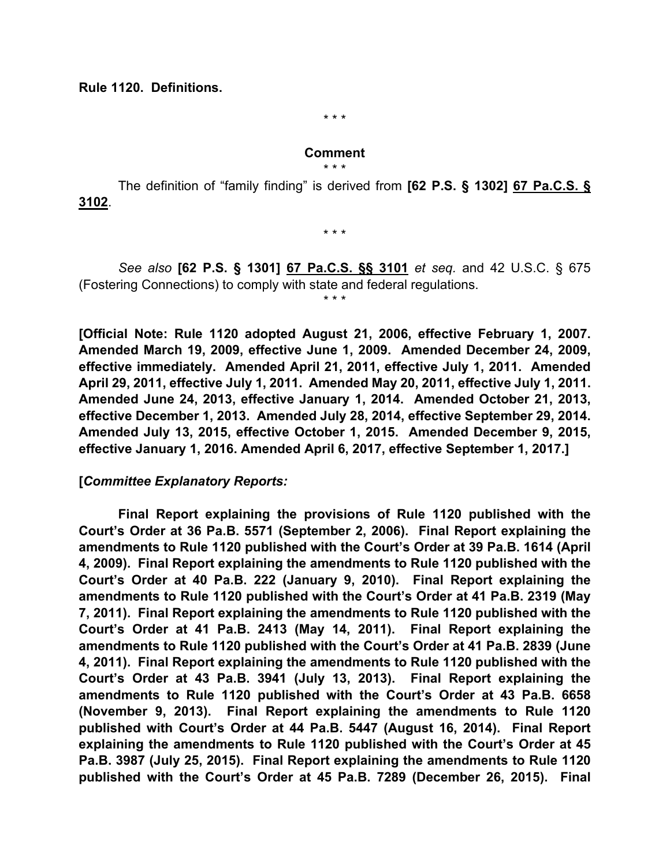**Rule 1120. Definitions.**

\* \* \*

### **Comment**

\* \* \*

The definition of "family finding" is derived from **[62 P.S. § 1302] 67 Pa.C.S. § 3102**.

\* \* \*

*See also* **[62 P.S. § 1301] 67 Pa.C.S. §§ 3101** *et seq.* and 42 U.S.C. § 675 (Fostering Connections) to comply with state and federal regulations.

\* \* \*

**[Official Note: Rule 1120 adopted August 21, 2006, effective February 1, 2007. Amended March 19, 2009, effective June 1, 2009. Amended December 24, 2009, effective immediately. Amended April 21, 2011, effective July 1, 2011. Amended April 29, 2011, effective July 1, 2011. Amended May 20, 2011, effective July 1, 2011. Amended June 24, 2013, effective January 1, 2014. Amended October 21, 2013, effective December 1, 2013. Amended July 28, 2014, effective September 29, 2014. Amended July 13, 2015, effective October 1, 2015. Amended December 9, 2015, effective January 1, 2016. Amended April 6, 2017, effective September 1, 2017.]** 

### **[***Committee Explanatory Reports:*

**Final Report explaining the provisions of Rule 1120 published with the Court's Order at 36 Pa.B. 5571 (September 2, 2006). Final Report explaining the amendments to Rule 1120 published with the Court's Order at 39 Pa.B. 1614 (April 4, 2009). Final Report explaining the amendments to Rule 1120 published with the Court's Order at 40 Pa.B. 222 (January 9, 2010). Final Report explaining the amendments to Rule 1120 published with the Court's Order at 41 Pa.B. 2319 (May 7, 2011). Final Report explaining the amendments to Rule 1120 published with the Court's Order at 41 Pa.B. 2413 (May 14, 2011). Final Report explaining the amendments to Rule 1120 published with the Court's Order at 41 Pa.B. 2839 (June 4, 2011). Final Report explaining the amendments to Rule 1120 published with the Court's Order at 43 Pa.B. 3941 (July 13, 2013). Final Report explaining the amendments to Rule 1120 published with the Court's Order at 43 Pa.B. 6658 (November 9, 2013). Final Report explaining the amendments to Rule 1120 published with Court's Order at 44 Pa.B. 5447 (August 16, 2014). Final Report explaining the amendments to Rule 1120 published with the Court's Order at 45 Pa.B. 3987 (July 25, 2015). Final Report explaining the amendments to Rule 1120 published with the Court's Order at 45 Pa.B. 7289 (December 26, 2015). Final**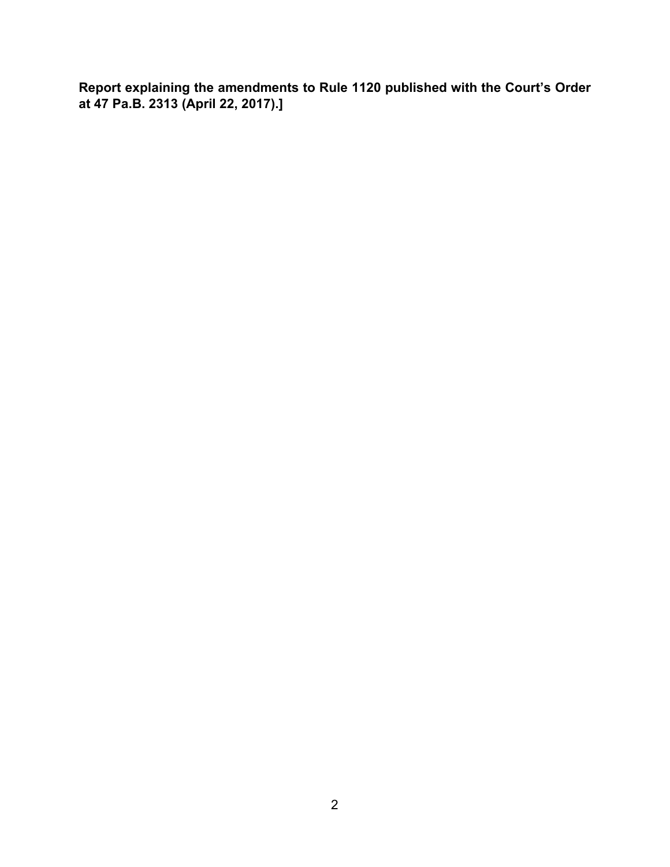**Report explaining the amendments to Rule 1120 published with the Court's Order at 47 Pa.B. 2313 (April 22, 2017).]**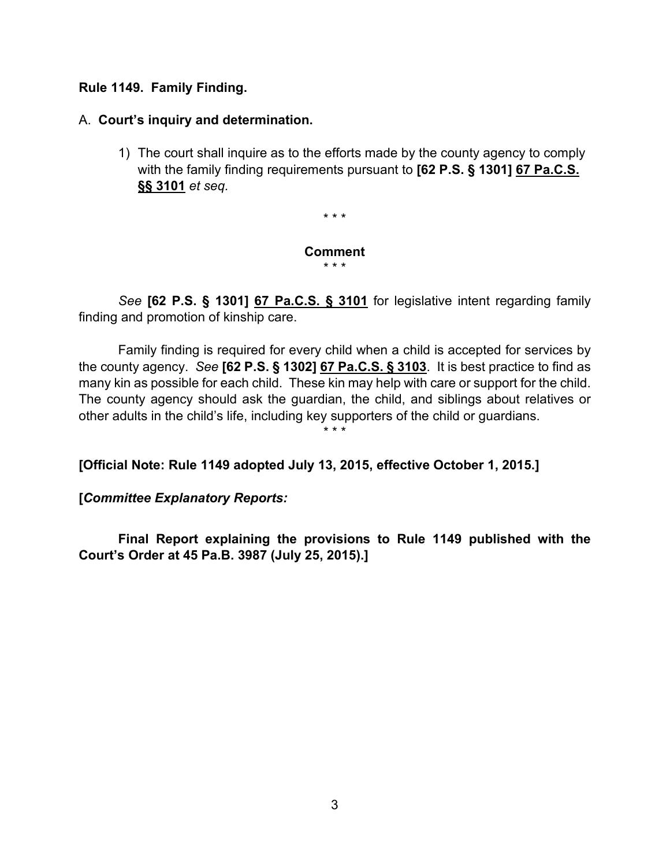## **Rule 1149. Family Finding.**

# A. **Court's inquiry and determination.**

1) The court shall inquire as to the efforts made by the county agency to comply with the family finding requirements pursuant to **[62 P.S. § 1301] 67 Pa.C.S. §§ 3101** *et seq.* 

\* \* \*

#### **Comment** \* \* \*

*See* **[62 P.S. § 1301] 67 Pa.C.S. § 3101** for legislative intent regarding family finding and promotion of kinship care.

Family finding is required for every child when a child is accepted for services by the county agency. *See* **[62 P.S. § 1302] 67 Pa.C.S. § 3103**. It is best practice to find as many kin as possible for each child. These kin may help with care or support for the child. The county agency should ask the guardian, the child, and siblings about relatives or other adults in the child's life, including key supporters of the child or guardians.

\* \* \*

**[Official Note: Rule 1149 adopted July 13, 2015, effective October 1, 2015.]** 

**[***Committee Explanatory Reports:*

**Final Report explaining the provisions to Rule 1149 published with the Court's Order at 45 Pa.B. 3987 (July 25, 2015).]**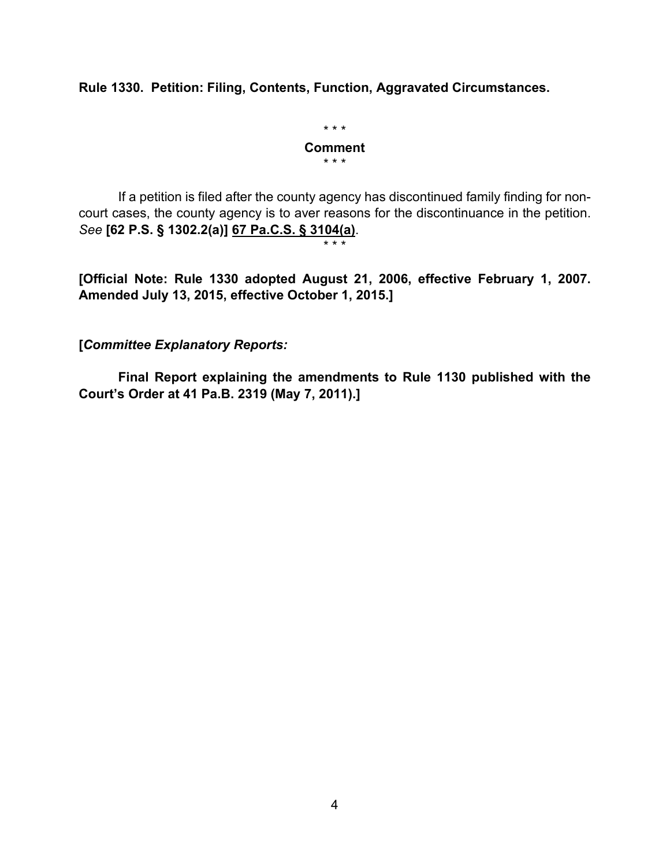**Rule 1330. Petition: Filing, Contents, Function, Aggravated Circumstances.**

\* \* \* **Comment** \* \* \*

If a petition is filed after the county agency has discontinued family finding for noncourt cases, the county agency is to aver reasons for the discontinuance in the petition. *See* **[62 P.S. § 1302.2(a)] 67 Pa.C.S. § 3104(a)**.

\* \* \*

**[Official Note: Rule 1330 adopted August 21, 2006, effective February 1, 2007. Amended July 13, 2015, effective October 1, 2015.]**

**[***Committee Explanatory Reports:*

**Final Report explaining the amendments to Rule 1130 published with the Court's Order at 41 Pa.B. 2319 (May 7, 2011).]**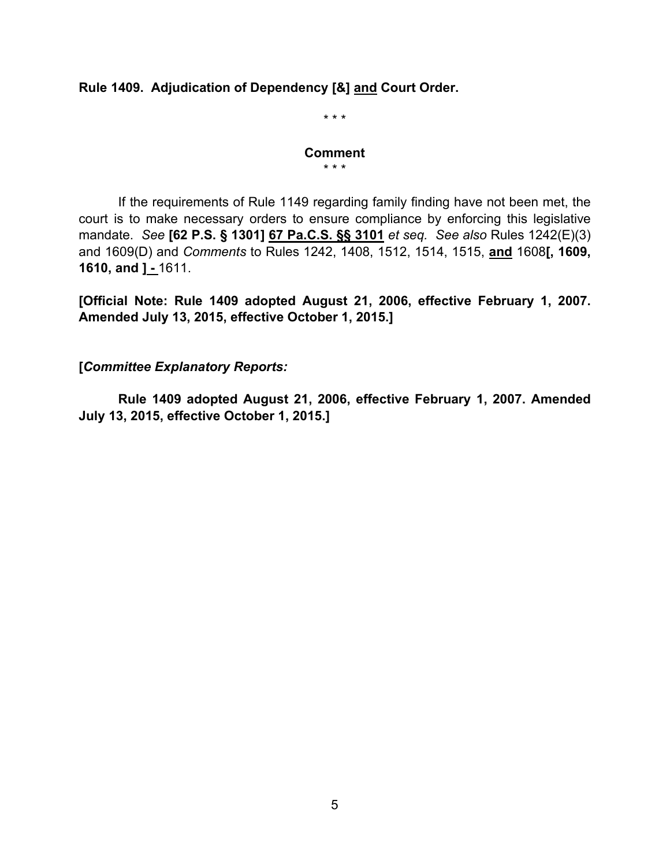# **Rule 1409. Adjudication of Dependency [&] and Court Order.**

\* \* \*

# **Comment**

\* \* \*

If the requirements of Rule 1149 regarding family finding have not been met, the court is to make necessary orders to ensure compliance by enforcing this legislative mandate. *See* **[62 P.S. § 1301] 67 Pa.C.S. §§ 3101** *et seq. See also* Rules 1242(E)(3) and 1609(D) and *Comments* to Rules 1242, 1408, 1512, 1514, 1515, **and** 1608**[, 1609, 1610, and ] -** 1611.

**[Official Note: Rule 1409 adopted August 21, 2006, effective February 1, 2007. Amended July 13, 2015, effective October 1, 2015.]** 

**[***Committee Explanatory Reports:*

**Rule 1409 adopted August 21, 2006, effective February 1, 2007. Amended July 13, 2015, effective October 1, 2015.]**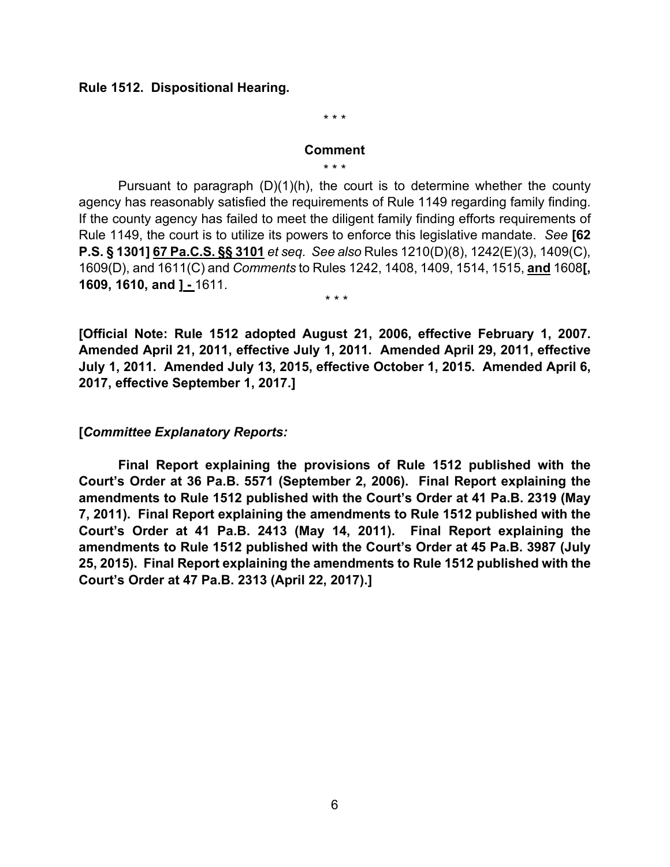### **Rule 1512. Dispositional Hearing.**

\* \* \*

### **Comment**

\* \* \*

Pursuant to paragraph (D)(1)(h), the court is to determine whether the county agency has reasonably satisfied the requirements of Rule 1149 regarding family finding. If the county agency has failed to meet the diligent family finding efforts requirements of Rule 1149, the court is to utilize its powers to enforce this legislative mandate. *See* **[62 P.S. § 1301] 67 Pa.C.S. §§ 3101** *et seq. See also* Rules 1210(D)(8), 1242(E)(3), 1409(C), 1609(D), and 1611(C) and *Comments* to Rules 1242, 1408, 1409, 1514, 1515, **and** 1608**[, 1609, 1610, and ] -** 1611. \* \* \*

**[Official Note: Rule 1512 adopted August 21, 2006, effective February 1, 2007. Amended April 21, 2011, effective July 1, 2011. Amended April 29, 2011, effective July 1, 2011. Amended July 13, 2015, effective October 1, 2015. Amended April 6, 2017, effective September 1, 2017.]** 

### **[***Committee Explanatory Reports:*

**Final Report explaining the provisions of Rule 1512 published with the Court's Order at 36 Pa.B. 5571 (September 2, 2006). Final Report explaining the amendments to Rule 1512 published with the Court's Order at 41 Pa.B. 2319 (May 7, 2011). Final Report explaining the amendments to Rule 1512 published with the Court's Order at 41 Pa.B. 2413 (May 14, 2011). Final Report explaining the amendments to Rule 1512 published with the Court's Order at 45 Pa.B. 3987 (July 25, 2015). Final Report explaining the amendments to Rule 1512 published with the Court's Order at 47 Pa.B. 2313 (April 22, 2017).]**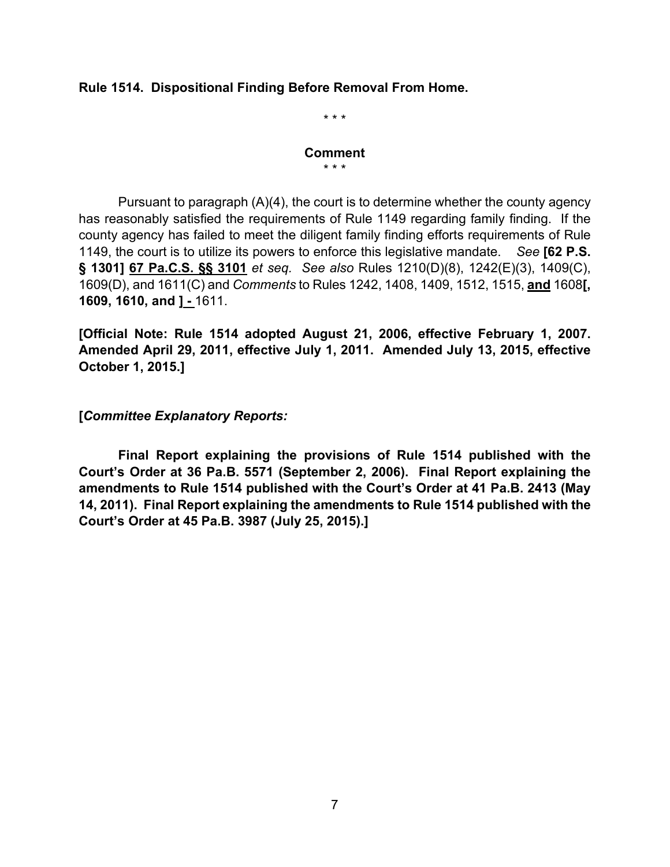## **Rule 1514. Dispositional Finding Before Removal From Home.**

\* \* \*

#### **Comment** \* \* \*

Pursuant to paragraph  $(A)(4)$ , the court is to determine whether the county agency has reasonably satisfied the requirements of Rule 1149 regarding family finding. If the county agency has failed to meet the diligent family finding efforts requirements of Rule 1149, the court is to utilize its powers to enforce this legislative mandate. *See* **[62 P.S. § 1301] 67 Pa.C.S. §§ 3101** *et seq. See also* Rules 1210(D)(8), 1242(E)(3), 1409(C), 1609(D), and 1611(C) and *Comments* to Rules 1242, 1408, 1409, 1512, 1515, **and** 1608**[, 1609, 1610, and ] -** 1611.

**[Official Note: Rule 1514 adopted August 21, 2006, effective February 1, 2007. Amended April 29, 2011, effective July 1, 2011. Amended July 13, 2015, effective October 1, 2015.]** 

**[***Committee Explanatory Reports:*

**Final Report explaining the provisions of Rule 1514 published with the Court's Order at 36 Pa.B. 5571 (September 2, 2006). Final Report explaining the amendments to Rule 1514 published with the Court's Order at 41 Pa.B. 2413 (May 14, 2011). Final Report explaining the amendments to Rule 1514 published with the Court's Order at 45 Pa.B. 3987 (July 25, 2015).]**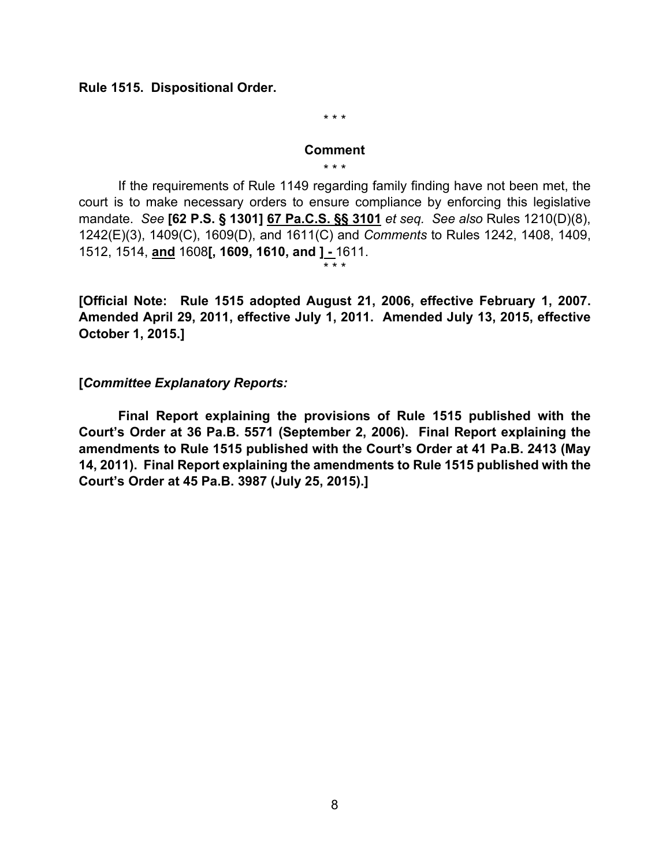**Rule 1515. Dispositional Order.**

\* \* \*

#### **Comment** \* \* \*

If the requirements of Rule 1149 regarding family finding have not been met, the court is to make necessary orders to ensure compliance by enforcing this legislative mandate. *See* **[62 P.S. § 1301] 67 Pa.C.S. §§ 3101** *et seq. See also* Rules 1210(D)(8), 1242(E)(3), 1409(C), 1609(D), and 1611(C) and *Comments* to Rules 1242, 1408, 1409, 1512, 1514, **and** 1608**[, 1609, 1610, and ] -** 1611.

**[Official Note: Rule 1515 adopted August 21, 2006, effective February 1, 2007. Amended April 29, 2011, effective July 1, 2011. Amended July 13, 2015, effective October 1, 2015.]** 

\* \* \*

### **[***Committee Explanatory Reports:*

**Final Report explaining the provisions of Rule 1515 published with the Court's Order at 36 Pa.B. 5571 (September 2, 2006). Final Report explaining the amendments to Rule 1515 published with the Court's Order at 41 Pa.B. 2413 (May 14, 2011). Final Report explaining the amendments to Rule 1515 published with the Court's Order at 45 Pa.B. 3987 (July 25, 2015).]**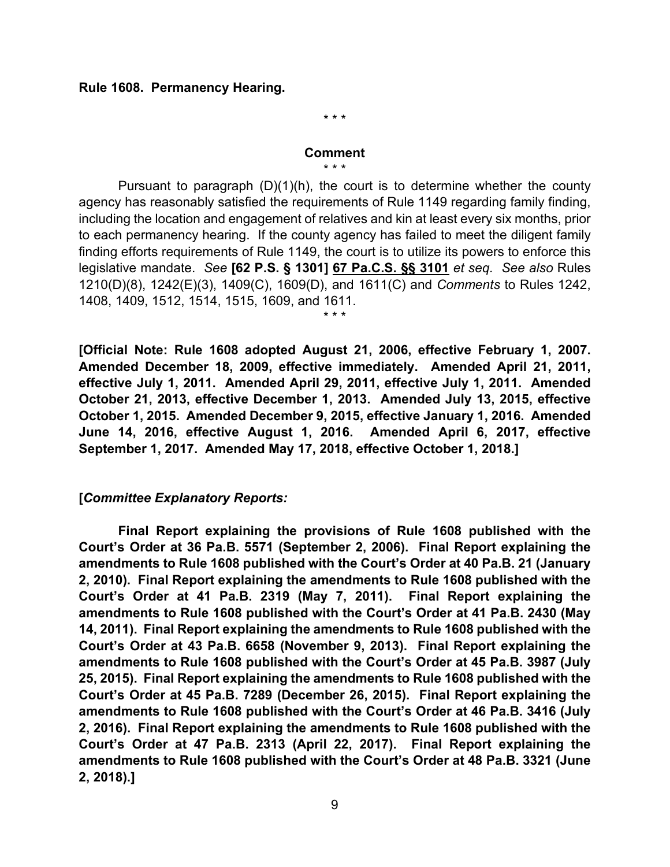### **Rule 1608. Permanency Hearing.**

\* \* \*

#### **Comment**

\* \* \*

Pursuant to paragraph (D)(1)(h), the court is to determine whether the county agency has reasonably satisfied the requirements of Rule 1149 regarding family finding, including the location and engagement of relatives and kin at least every six months, prior to each permanency hearing. If the county agency has failed to meet the diligent family finding efforts requirements of Rule 1149, the court is to utilize its powers to enforce this legislative mandate. *See* **[62 P.S. § 1301] 67 Pa.C.S. §§ 3101** *et seq. See also* Rules 1210(D)(8), 1242(E)(3), 1409(C), 1609(D), and 1611(C) and *Comments* to Rules 1242, 1408, 1409, 1512, 1514, 1515, 1609, and 1611.

\* \* \*

**[Official Note: Rule 1608 adopted August 21, 2006, effective February 1, 2007. Amended December 18, 2009, effective immediately. Amended April 21, 2011, effective July 1, 2011. Amended April 29, 2011, effective July 1, 2011. Amended October 21, 2013, effective December 1, 2013. Amended July 13, 2015, effective October 1, 2015. Amended December 9, 2015, effective January 1, 2016. Amended June 14, 2016, effective August 1, 2016. Amended April 6, 2017, effective September 1, 2017. Amended May 17, 2018, effective October 1, 2018.]** 

### **[***Committee Explanatory Reports:*

**Final Report explaining the provisions of Rule 1608 published with the Court's Order at 36 Pa.B. 5571 (September 2, 2006). Final Report explaining the amendments to Rule 1608 published with the Court's Order at 40 Pa.B. 21 (January 2, 2010). Final Report explaining the amendments to Rule 1608 published with the Court's Order at 41 Pa.B. 2319 (May 7, 2011). Final Report explaining the amendments to Rule 1608 published with the Court's Order at 41 Pa.B. 2430 (May 14, 2011). Final Report explaining the amendments to Rule 1608 published with the Court's Order at 43 Pa.B. 6658 (November 9, 2013). Final Report explaining the amendments to Rule 1608 published with the Court's Order at 45 Pa.B. 3987 (July 25, 2015). Final Report explaining the amendments to Rule 1608 published with the Court's Order at 45 Pa.B. 7289 (December 26, 2015). Final Report explaining the amendments to Rule 1608 published with the Court's Order at 46 Pa.B. 3416 (July 2, 2016). Final Report explaining the amendments to Rule 1608 published with the Court's Order at 47 Pa.B. 2313 (April 22, 2017). Final Report explaining the amendments to Rule 1608 published with the Court's Order at 48 Pa.B. 3321 (June 2, 2018).]**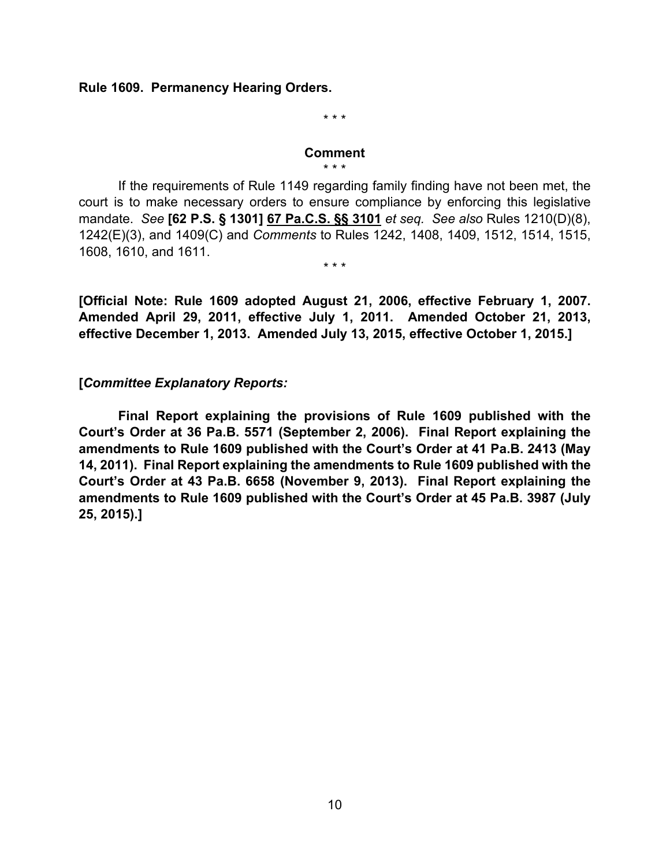### **Rule 1609. Permanency Hearing Orders.**

\* \* \*

#### **Comment** \* \* \*

If the requirements of Rule 1149 regarding family finding have not been met, the court is to make necessary orders to ensure compliance by enforcing this legislative mandate. *See* **[62 P.S. § 1301] 67 Pa.C.S. §§ 3101** *et seq. See also* Rules 1210(D)(8), 1242(E)(3), and 1409(C) and *Comments* to Rules 1242, 1408, 1409, 1512, 1514, 1515, 1608, 1610, and 1611.

\* \* \*

**[Official Note: Rule 1609 adopted August 21, 2006, effective February 1, 2007. Amended April 29, 2011, effective July 1, 2011. Amended October 21, 2013, effective December 1, 2013. Amended July 13, 2015, effective October 1, 2015.]** 

## **[***Committee Explanatory Reports:*

**Final Report explaining the provisions of Rule 1609 published with the Court's Order at 36 Pa.B. 5571 (September 2, 2006). Final Report explaining the amendments to Rule 1609 published with the Court's Order at 41 Pa.B. 2413 (May 14, 2011). Final Report explaining the amendments to Rule 1609 published with the Court's Order at 43 Pa.B. 6658 (November 9, 2013). Final Report explaining the amendments to Rule 1609 published with the Court's Order at 45 Pa.B. 3987 (July 25, 2015).]**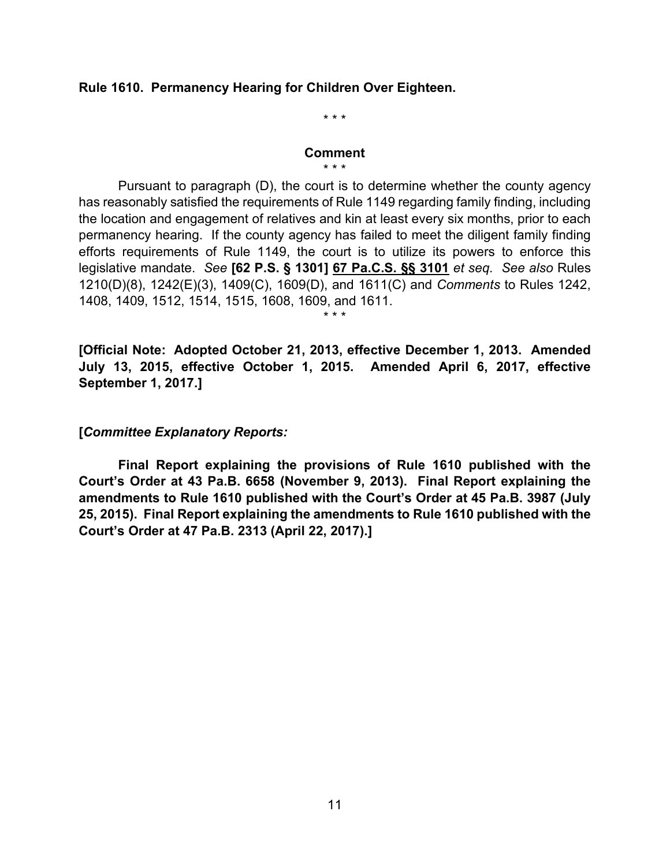### **Rule 1610. Permanency Hearing for Children Over Eighteen.**

\* \* \*

### **Comment**

\* \* \*

Pursuant to paragraph (D), the court is to determine whether the county agency has reasonably satisfied the requirements of Rule 1149 regarding family finding, including the location and engagement of relatives and kin at least every six months, prior to each permanency hearing. If the county agency has failed to meet the diligent family finding efforts requirements of Rule 1149, the court is to utilize its powers to enforce this legislative mandate. *See* **[62 P.S. § 1301] 67 Pa.C.S. §§ 3101** *et seq. See also* Rules 1210(D)(8), 1242(E)(3), 1409(C), 1609(D), and 1611(C) and *Comments* to Rules 1242, 1408, 1409, 1512, 1514, 1515, 1608, 1609, and 1611.

**[Official Note: Adopted October 21, 2013, effective December 1, 2013. Amended July 13, 2015, effective October 1, 2015. Amended April 6, 2017, effective September 1, 2017.]** 

\* \* \*

**[***Committee Explanatory Reports:*

**Final Report explaining the provisions of Rule 1610 published with the Court's Order at 43 Pa.B. 6658 (November 9, 2013). Final Report explaining the amendments to Rule 1610 published with the Court's Order at 45 Pa.B. 3987 (July 25, 2015). Final Report explaining the amendments to Rule 1610 published with the Court's Order at 47 Pa.B. 2313 (April 22, 2017).]**